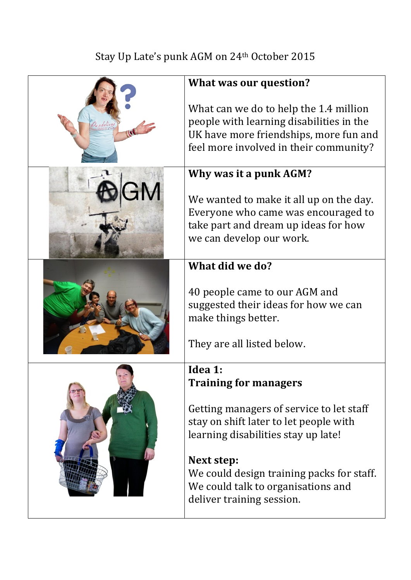## Stay Up Late's punk AGM on 24<sup>th</sup> October 2015

| What was our question?                                                                                                                                                 |
|------------------------------------------------------------------------------------------------------------------------------------------------------------------------|
| What can we do to help the 1.4 million<br>people with learning disabilities in the<br>UK have more friendships, more fun and<br>feel more involved in their community? |
| Why was it a punk AGM?                                                                                                                                                 |
| We wanted to make it all up on the day.<br>Everyone who came was encouraged to<br>take part and dream up ideas for how<br>we can develop our work.                     |
| What did we do?                                                                                                                                                        |
| 40 people came to our AGM and<br>suggested their ideas for how we can<br>make things better.<br>They are all listed below.                                             |
| Idea 1:                                                                                                                                                                |
| <b>Training for managers</b>                                                                                                                                           |
| Getting managers of service to let staff<br>stay on shift later to let people with<br>learning disabilities stay up late!                                              |
| Next step:<br>We could design training packs for staff.<br>We could talk to organisations and                                                                          |
| deliver training session.                                                                                                                                              |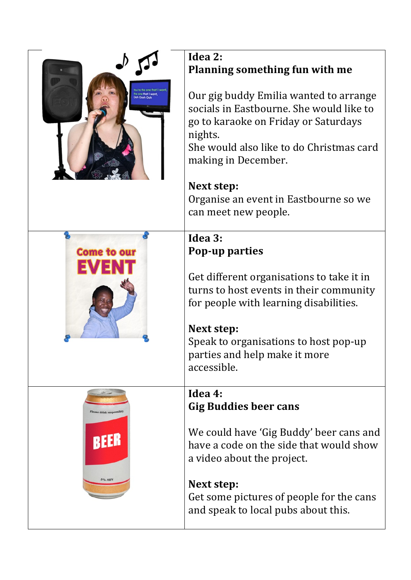|                          | Idea 2:<br><b>Planning something fun with me</b>                                                                                                                                                                                      |
|--------------------------|---------------------------------------------------------------------------------------------------------------------------------------------------------------------------------------------------------------------------------------|
|                          | Our gig buddy Emilia wanted to arrange<br>socials in Eastbourne. She would like to<br>go to karaoke on Friday or Saturdays<br>nights.<br>She would also like to do Christmas card<br>making in December.                              |
|                          | Next step:                                                                                                                                                                                                                            |
|                          | Organise an event in Eastbourne so we<br>can meet new people.                                                                                                                                                                         |
|                          | Idea 3:                                                                                                                                                                                                                               |
| <b>Come to our</b>       | <b>Pop-up parties</b>                                                                                                                                                                                                                 |
|                          | Get different organisations to take it in<br>turns to host events in their community<br>for people with learning disabilities.<br>Next step:<br>Speak to organisations to host pop-up<br>parties and help make it more<br>accessible. |
|                          | Idea 4:                                                                                                                                                                                                                               |
| Please drink responsibly | <b>Gig Buddies beer cans</b>                                                                                                                                                                                                          |
| BELL                     | We could have 'Gig Buddy' beer cans and<br>have a code on the side that would show<br>a video about the project.                                                                                                                      |
|                          | Next step:<br>Get some pictures of people for the cans<br>and speak to local pubs about this.                                                                                                                                         |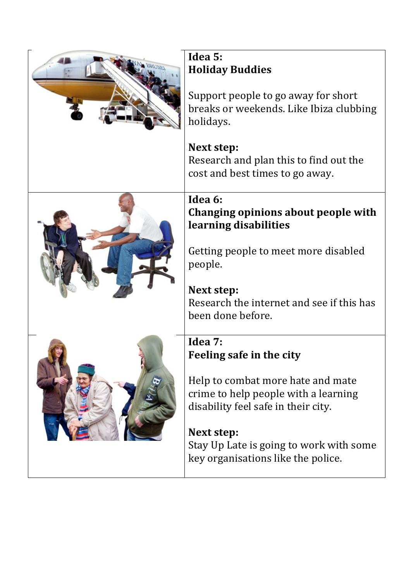|  | Idea 5:<br><b>Holiday Buddies</b><br>Support people to go away for short                                         |
|--|------------------------------------------------------------------------------------------------------------------|
|  | breaks or weekends. Like Ibiza clubbing<br>holidays.                                                             |
|  | Next step:                                                                                                       |
|  | Research and plan this to find out the<br>cost and best times to go away.                                        |
|  | Idea 6:<br>Changing opinions about people with<br>learning disabilities                                          |
|  | Getting people to meet more disabled<br>people.                                                                  |
|  | Next step:<br>Research the internet and see if this has                                                          |
|  | been done before.                                                                                                |
|  | Idea 7:<br>Feeling safe in the city                                                                              |
|  |                                                                                                                  |
|  | Help to combat more hate and mate<br>crime to help people with a learning<br>disability feel safe in their city. |
|  | Next step:<br>Stay Up Late is going to work with some<br>key organisations like the police.                      |

 $\overline{\phantom{a}}$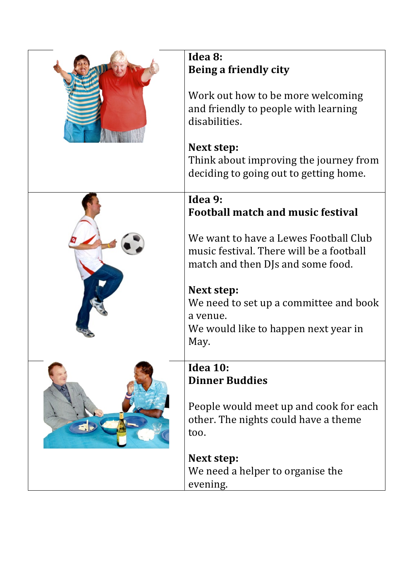| Idea 8:<br>Being a friendly city<br>Work out how to be more welcoming<br>and friendly to people with learning<br>disabilities. |
|--------------------------------------------------------------------------------------------------------------------------------|
| Next step:<br>Think about improving the journey from<br>deciding to going out to getting home.                                 |
| Idea 9:<br><b>Football match and music festival</b>                                                                            |
| We want to have a Lewes Football Club<br>music festival. There will be a football<br>match and then DJs and some food.         |
| Next step:<br>We need to set up a committee and book<br>a venue.<br>We would like to happen next year in<br>May.               |
| <b>Idea 10:</b><br><b>Dinner Buddies</b><br>People would meet up and cook for each                                             |
| other. The nights could have a theme<br>too.                                                                                   |
| Next step:<br>We need a helper to organise the<br>evening.                                                                     |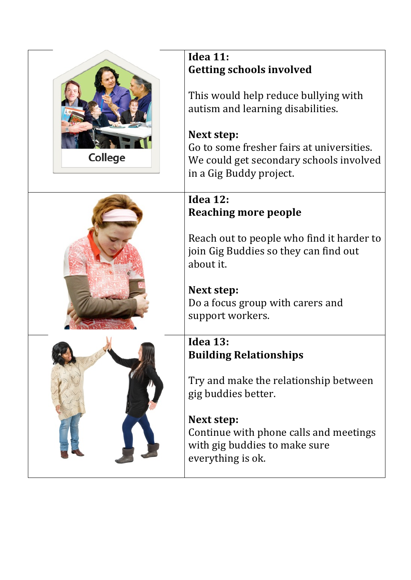|         | <b>Idea 11:</b>                                                                                                                                                                                                                               |
|---------|-----------------------------------------------------------------------------------------------------------------------------------------------------------------------------------------------------------------------------------------------|
| College | <b>Getting schools involved</b><br>This would help reduce bullying with<br>autism and learning disabilities.<br>Next step:<br>Go to some fresher fairs at universities.<br>We could get secondary schools involved<br>in a Gig Buddy project. |
|         | Idea 12:                                                                                                                                                                                                                                      |
|         | <b>Reaching more people</b>                                                                                                                                                                                                                   |
|         | Reach out to people who find it harder to<br>join Gig Buddies so they can find out<br>about it.<br>Next step:<br>Do a focus group with carers and<br>support workers.                                                                         |
|         |                                                                                                                                                                                                                                               |
|         | <b>Idea 13:</b><br><b>Building Relationships</b><br>Try and make the relationship between<br>gig buddies better.<br>Next step:<br>Continue with phone calls and meetings<br>with gig buddies to make sure<br>everything is ok.                |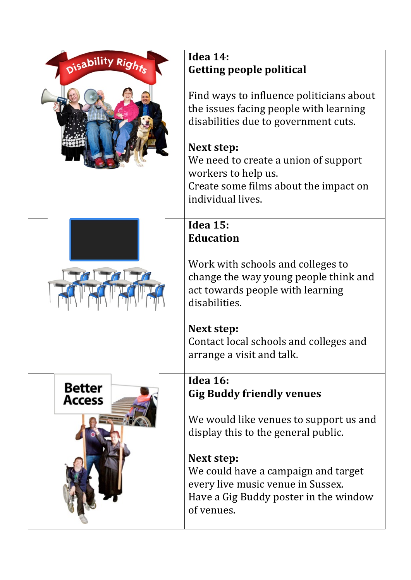| Disability Rights              | Idea 14:<br><b>Getting people political</b>                                                                                                                                                                                                                           |
|--------------------------------|-----------------------------------------------------------------------------------------------------------------------------------------------------------------------------------------------------------------------------------------------------------------------|
|                                | Find ways to influence politicians about<br>the issues facing people with learning<br>disabilities due to government cuts.<br>Next step:<br>We need to create a union of support<br>workers to help us.<br>Create some films about the impact on<br>individual lives. |
|                                | <b>Idea 15:</b><br><b>Education</b>                                                                                                                                                                                                                                   |
|                                | Work with schools and colleges to<br>change the way young people think and<br>act towards people with learning<br>disabilities.                                                                                                                                       |
|                                | Next step:<br>Contact local schools and colleges and<br>arrange a visit and talk.                                                                                                                                                                                     |
| <b>Better</b><br><b>Access</b> | <b>Idea 16:</b><br><b>Gig Buddy friendly venues</b>                                                                                                                                                                                                                   |
|                                | We would like venues to support us and<br>display this to the general public.                                                                                                                                                                                         |
|                                | Next step:<br>We could have a campaign and target<br>every live music venue in Sussex.<br>Have a Gig Buddy poster in the window<br>of venues.                                                                                                                         |